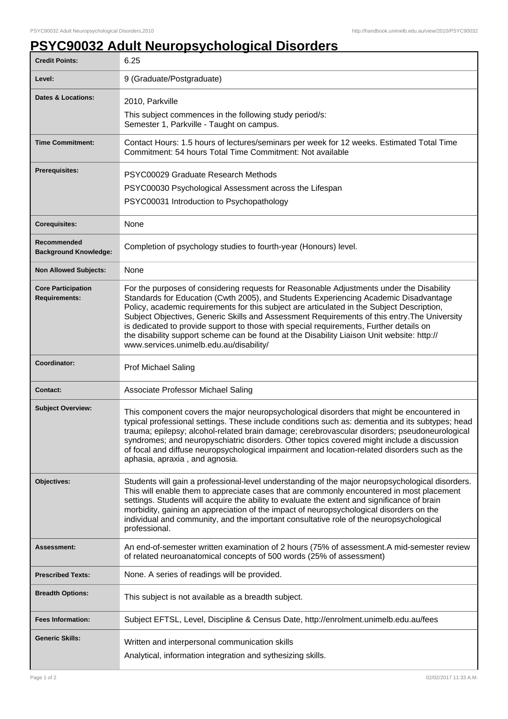## **PSYC90032 Adult Neuropsychological Disorders**

| <b>Credit Points:</b>                             | 6.25                                                                                                                                                                                                                                                                                                                                                                                                                                                                                                                                                                                                              |
|---------------------------------------------------|-------------------------------------------------------------------------------------------------------------------------------------------------------------------------------------------------------------------------------------------------------------------------------------------------------------------------------------------------------------------------------------------------------------------------------------------------------------------------------------------------------------------------------------------------------------------------------------------------------------------|
| Level:                                            | 9 (Graduate/Postgraduate)                                                                                                                                                                                                                                                                                                                                                                                                                                                                                                                                                                                         |
| <b>Dates &amp; Locations:</b>                     | 2010, Parkville                                                                                                                                                                                                                                                                                                                                                                                                                                                                                                                                                                                                   |
|                                                   | This subject commences in the following study period/s:<br>Semester 1, Parkville - Taught on campus.                                                                                                                                                                                                                                                                                                                                                                                                                                                                                                              |
| <b>Time Commitment:</b>                           | Contact Hours: 1.5 hours of lectures/seminars per week for 12 weeks. Estimated Total Time<br>Commitment: 54 hours Total Time Commitment: Not available                                                                                                                                                                                                                                                                                                                                                                                                                                                            |
| <b>Prerequisites:</b>                             | PSYC00029 Graduate Research Methods                                                                                                                                                                                                                                                                                                                                                                                                                                                                                                                                                                               |
|                                                   | PSYC00030 Psychological Assessment across the Lifespan                                                                                                                                                                                                                                                                                                                                                                                                                                                                                                                                                            |
|                                                   | PSYC00031 Introduction to Psychopathology                                                                                                                                                                                                                                                                                                                                                                                                                                                                                                                                                                         |
| <b>Corequisites:</b>                              | None                                                                                                                                                                                                                                                                                                                                                                                                                                                                                                                                                                                                              |
| Recommended<br><b>Background Knowledge:</b>       | Completion of psychology studies to fourth-year (Honours) level.                                                                                                                                                                                                                                                                                                                                                                                                                                                                                                                                                  |
| <b>Non Allowed Subjects:</b>                      | None                                                                                                                                                                                                                                                                                                                                                                                                                                                                                                                                                                                                              |
| <b>Core Participation</b><br><b>Requirements:</b> | For the purposes of considering requests for Reasonable Adjustments under the Disability<br>Standards for Education (Cwth 2005), and Students Experiencing Academic Disadvantage<br>Policy, academic requirements for this subject are articulated in the Subject Description,<br>Subject Objectives, Generic Skills and Assessment Requirements of this entry. The University<br>is dedicated to provide support to those with special requirements, Further details on<br>the disability support scheme can be found at the Disability Liaison Unit website: http://<br>www.services.unimelb.edu.au/disability/ |
| Coordinator:                                      | <b>Prof Michael Saling</b>                                                                                                                                                                                                                                                                                                                                                                                                                                                                                                                                                                                        |
| <b>Contact:</b>                                   | Associate Professor Michael Saling                                                                                                                                                                                                                                                                                                                                                                                                                                                                                                                                                                                |
| <b>Subject Overview:</b>                          | This component covers the major neuropsychological disorders that might be encountered in<br>typical professional settings. These include conditions such as: dementia and its subtypes; head<br>trauma; epilepsy; alcohol-related brain damage; cerebrovascular disorders; pseudoneurological<br>syndromes; and neuropyschiatric disorders. Other topics covered might include a discussion<br>of focal and diffuse neuropsychological impairment and location-related disorders such as the<br>aphasia, apraxia, and agnosia.                                                                                   |
| Objectives:                                       | Students will gain a professional-level understanding of the major neuropsychological disorders.<br>This will enable them to appreciate cases that are commonly encountered in most placement<br>settings. Students will acquire the ability to evaluate the extent and significance of brain<br>morbidity, gaining an appreciation of the impact of neuropsychological disorders on the<br>individual and community, and the important consultative role of the neuropsychological<br>professional.                                                                                                              |
| Assessment:                                       | An end-of-semester written examination of 2 hours (75% of assessment.A mid-semester review<br>of related neuroanatomical concepts of 500 words (25% of assessment)                                                                                                                                                                                                                                                                                                                                                                                                                                                |
| <b>Prescribed Texts:</b>                          | None. A series of readings will be provided.                                                                                                                                                                                                                                                                                                                                                                                                                                                                                                                                                                      |
| <b>Breadth Options:</b>                           | This subject is not available as a breadth subject.                                                                                                                                                                                                                                                                                                                                                                                                                                                                                                                                                               |
| <b>Fees Information:</b>                          | Subject EFTSL, Level, Discipline & Census Date, http://enrolment.unimelb.edu.au/fees                                                                                                                                                                                                                                                                                                                                                                                                                                                                                                                              |
| <b>Generic Skills:</b>                            | Written and interpersonal communication skills<br>Analytical, information integration and sythesizing skills.                                                                                                                                                                                                                                                                                                                                                                                                                                                                                                     |